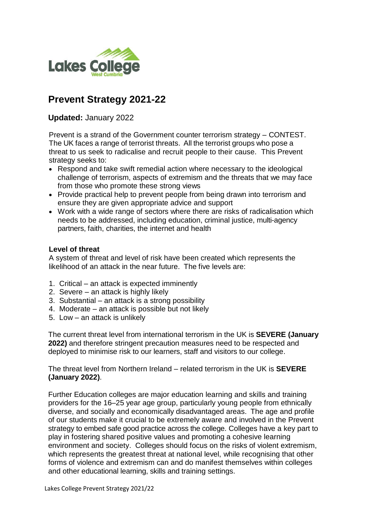

# **Prevent Strategy 2021-22**

**Updated:** January 2022

Prevent is a strand of the Government counter terrorism strategy – CONTEST. The UK faces a range of terrorist threats. All the terrorist groups who pose a threat to us seek to radicalise and recruit people to their cause. This Prevent strategy seeks to:

- Respond and take swift remedial action where necessary to the ideological challenge of terrorism, aspects of extremism and the threats that we may face from those who promote these strong views
- Provide practical help to prevent people from being drawn into terrorism and ensure they are given appropriate advice and support
- Work with a wide range of sectors where there are risks of radicalisation which needs to be addressed, including education, criminal justice, multi-agency partners, faith, charities, the internet and health

#### **Level of threat**

A system of threat and level of risk have been created which represents the likelihood of an attack in the near future. The five levels are:

- 1. Critical an attack is expected imminently
- 2. Severe an attack is highly likely
- 3. Substantial an attack is a strong possibility
- 4. Moderate an attack is possible but not likely
- 5. Low an attack is unlikely

The current threat level from international terrorism in the UK is **SEVERE (January 2022)** and therefore stringent precaution measures need to be respected and deployed to minimise risk to our learners, staff and visitors to our college.

The threat level from Northern Ireland – related terrorism in the UK is **SEVERE (January 2022)**.

Further Education colleges are major education learning and skills and training providers for the 16–25 year age group, particularly young people from ethnically diverse, and socially and economically disadvantaged areas. The age and profile of our students make it crucial to be extremely aware and involved in the Prevent strategy to embed safe good practice across the college. Colleges have a key part to play in fostering shared positive values and promoting a cohesive learning environment and society. Colleges should focus on the risks of violent extremism, which represents the greatest threat at national level, while recognising that other forms of violence and extremism can and do manifest themselves within colleges and other educational learning, skills and training settings.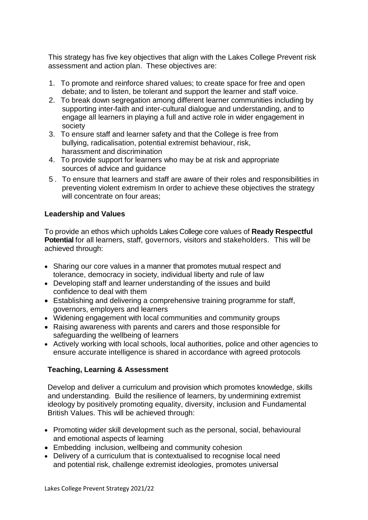This strategy has five key objectives that align with the Lakes College Prevent risk assessment and action plan. These objectives are:

- 1. To promote and reinforce shared values; to create space for free and open debate; and to listen, be tolerant and support the learner and staff voice.
- 2. To break down segregation among different learner communities including by supporting inter-faith and inter-cultural dialogue and understanding, and to engage all learners in playing a full and active role in wider engagement in society
- 3. To ensure staff and learner safety and that the College is free from bullying, radicalisation, potential extremist behaviour, risk, harassment and discrimination
- 4. To provide support for learners who may be at risk and appropriate sources of advice and guidance
- 5 . To ensure that learners and staff are aware of their roles and responsibilities in preventing violent extremism In order to achieve these objectives the strategy will concentrate on four areas:

## **Leadership and Values**

To provide an ethos which upholds Lakes College core values of **Ready Respectful Potential** for all learners, staff, governors, visitors and stakeholders. This will be achieved through:

- Sharing our core values in a manner that promotes mutual respect and tolerance, democracy in society, individual liberty and rule of law
- Developing staff and learner understanding of the issues and build confidence to deal with them
- Establishing and delivering a comprehensive training programme for staff, governors, employers and learners
- Widening engagement with local communities and community groups
- Raising awareness with parents and carers and those responsible for safeguarding the wellbeing of learners
- Actively working with local schools, local authorities, police and other agencies to ensure accurate intelligence is shared in accordance with agreed protocols

## **Teaching, Learning & Assessment**

Develop and deliver a curriculum and provision which promotes knowledge, skills and understanding. Build the resilience of learners, by undermining extremist ideology by positively promoting equality, diversity, inclusion and Fundamental British Values. This will be achieved through:

- Promoting wider skill development such as the personal, social, behavioural and emotional aspects of learning
- Embedding inclusion, wellbeing and community cohesion
- Delivery of a curriculum that is contextualised to recognise local need and potential risk, challenge extremist ideologies, promotes universal